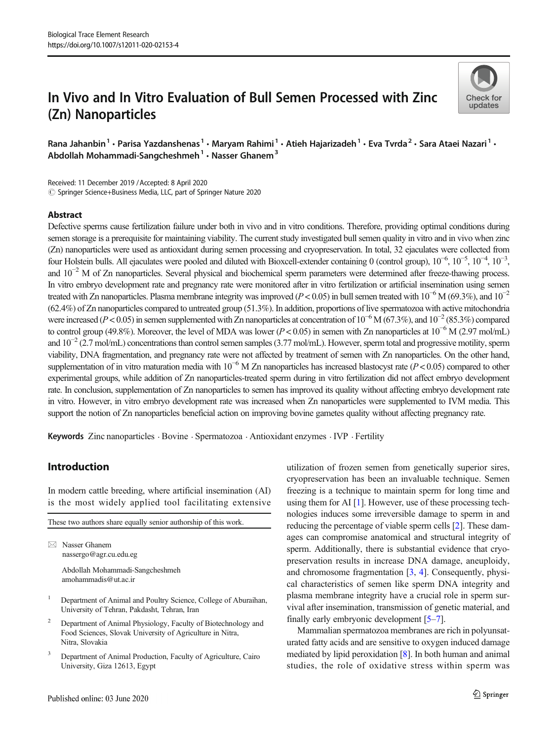# In Vivo and In Vitro Evaluation of Bull Semen Processed with Zinc (Zn) Nanoparticles



Rana Jahanbin<sup>1</sup> • Parisa Yazdanshenas<sup>1</sup> • Maryam Rahimi<sup>1</sup> • Atieh Hajarizadeh<sup>1</sup> • Eva Tvrda<sup>2</sup> • Sara Ataei Nazari<sup>1</sup> • Abdollah Mohammadi-Sangcheshmeh $1 \cdot$ Nasser Ghanem $3$ 

Received: 11 December 2019 /Accepted: 8 April 2020 © Springer Science+Business Media, LLC, part of Springer Nature 2020

## Abstract

Defective sperms cause fertilization failure under both in vivo and in vitro conditions. Therefore, providing optimal conditions during semen storage is a prerequisite for maintaining viability. The current study investigated bull semen quality in vitro and in vivo when zinc (Zn) nanoparticles were used as antioxidant during semen processing and cryopreservation. In total, 32 ejaculates were collected from four Holstein bulls. All ejaculates were pooled and diluted with Bioxcell-extender containing 0 (control group), 10<sup>-6</sup>, 10<sup>-5</sup>, 10<sup>-4</sup>, 10<sup>-3</sup>, and  $10^{-2}$  M of Zn nanoparticles. Several physical and biochemical sperm parameters were determined after freeze-thawing process. In vitro embryo development rate and pregnancy rate were monitored after in vitro fertilization or artificial insemination using semen treated with Zn nanoparticles. Plasma membrane integrity was improved ( $P < 0.05$ ) in bull semen treated with  $10^{-6}$  M (69.3%), and  $10^{-2}$ (62.4%) of Zn nanoparticles compared to untreated group (51.3%). In addition, proportions of live spermatozoa with active mitochondria were increased ( $P < 0.05$ ) in semen supplemented with Zn nanoparticles at concentration of  $10^{-6}$  M (67.3%), and  $10^{-2}$  (85.3%) compared to control group (49.8%). Moreover, the level of MDA was lower ( $P < 0.05$ ) in semen with Zn nanoparticles at  $10^{-6}$  M (2.97 mol/mL) and 10<sup>-2</sup> (2.7 mol/mL) concentrations than control semen samples (3.77 mol/mL). However, sperm total and progressive motility, sperm viability, DNA fragmentation, and pregnancy rate were not affected by treatment of semen with Zn nanoparticles. On the other hand, supplementation of in vitro maturation media with  $10^{-6}$  M Zn nanoparticles has increased blastocyst rate ( $P < 0.05$ ) compared to other experimental groups, while addition of Zn nanoparticles-treated sperm during in vitro fertilization did not affect embryo development rate. In conclusion, supplementation of Zn nanoparticles to semen has improved its quality without affecting embryo development rate in vitro. However, in vitro embryo development rate was increased when Zn nanoparticles were supplemented to IVM media. This support the notion of Zn nanoparticles beneficial action on improving bovine gametes quality without affecting pregnancy rate.

Keywords Zinc nanoparticles . Bovine . Spermatozoa . Antioxidant enzymes . IVP . Fertility

# Introduction

In modern cattle breeding, where artificial insemination (AI) is the most widely applied tool facilitating extensive

| These two authors share equally senior authorship of this work. |                                                                                                                                               |  |  |  |
|-----------------------------------------------------------------|-----------------------------------------------------------------------------------------------------------------------------------------------|--|--|--|
|                                                                 |                                                                                                                                               |  |  |  |
|                                                                 | Nasser Ghanem<br>nassergo@agr.cu.edu.eg                                                                                                       |  |  |  |
|                                                                 | Abdollah Mohammadi-Sangcheshmeh<br>amohammadis@ut.ac.ir                                                                                       |  |  |  |
| -1                                                              | Department of Animal and Poultry Science, College of Aburaihan,<br>University of Tehran, Pakdasht, Tehran, Iran                               |  |  |  |
| 2                                                               | Department of Animal Physiology, Faculty of Biotechnology and<br>Food Sciences, Slovak University of Agriculture in Nitra,<br>Nitra. Slovakia |  |  |  |

<sup>3</sup> Department of Animal Production, Faculty of Agriculture, Cairo University, Giza 12613, Egypt

utilization of frozen semen from genetically superior sires, cryopreservation has been an invaluable technique. Semen freezing is a technique to maintain sperm for long time and using them for AI [\[1](#page-7-0)]. However, use of these processing technologies induces some irreversible damage to sperm in and reducing the percentage of viable sperm cells [\[2\]](#page-7-0). These damages can compromise anatomical and structural integrity of sperm. Additionally, there is substantial evidence that cryopreservation results in increase DNA damage, aneuploidy, and chromosome fragmentation [\[3,](#page-7-0) [4](#page-7-0)]. Consequently, physical characteristics of semen like sperm DNA integrity and plasma membrane integrity have a crucial role in sperm survival after insemination, transmission of genetic material, and finally early embryonic development [[5](#page-7-0)–[7](#page-8-0)].

Mammalian spermatozoa membranes are rich in polyunsaturated fatty acids and are sensitive to oxygen induced damage mediated by lipid peroxidation [\[8](#page-8-0)]. In both human and animal studies, the role of oxidative stress within sperm was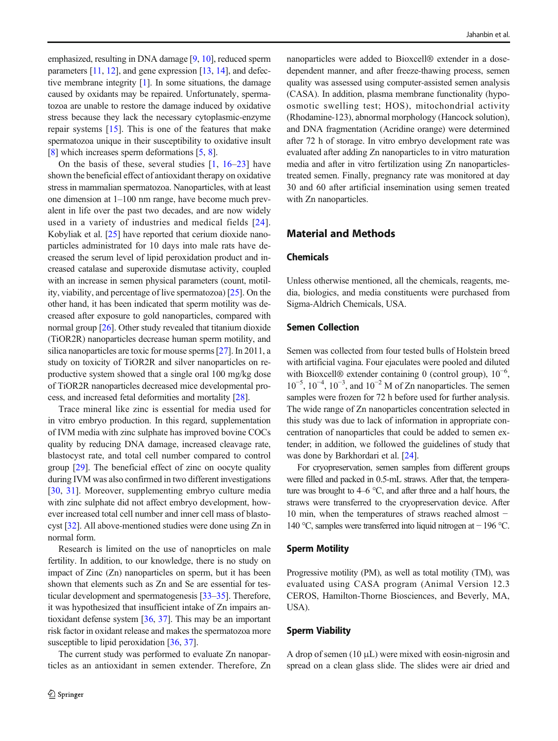emphasized, resulting in DNA damage [[9,](#page-8-0) [10\]](#page-8-0), reduced sperm parameters [[11,](#page-8-0) [12](#page-8-0)], and gene expression [[13,](#page-8-0) [14](#page-8-0)], and defective membrane integrity [\[1\]](#page-7-0). In some situations, the damage caused by oxidants may be repaired. Unfortunately, spermatozoa are unable to restore the damage induced by oxidative stress because they lack the necessary cytoplasmic-enzyme repair systems [\[15](#page-8-0)]. This is one of the features that make spermatozoa unique in their susceptibility to oxidative insult [\[8](#page-8-0)] which increases sperm deformations [\[5](#page-7-0), [8](#page-8-0)].

On the basis of these, several studies  $[1, 16-23]$  $[1, 16-23]$  $[1, 16-23]$  $[1, 16-23]$  $[1, 16-23]$  $[1, 16-23]$  have shown the beneficial effect of antioxidant therapy on oxidative stress in mammalian spermatozoa. Nanoparticles, with at least one dimension at 1–100 nm range, have become much prevalent in life over the past two decades, and are now widely used in a variety of industries and medical fields [[24](#page-8-0)]. Kobyliak et al. [\[25](#page-8-0)] have reported that cerium dioxide nanoparticles administrated for 10 days into male rats have decreased the serum level of lipid peroxidation product and increased catalase and superoxide dismutase activity, coupled with an increase in semen physical parameters (count, motility, viability, and percentage of live spermatozoa) [[25\]](#page-8-0). On the other hand, it has been indicated that sperm motility was decreased after exposure to gold nanoparticles, compared with normal group [[26\]](#page-8-0). Other study revealed that titanium dioxide (TiOR2R) nanoparticles decrease human sperm motility, and silica nanoparticles are toxic for mouse sperms [[27\]](#page-8-0). In 2011, a study on toxicity of TiOR2R and silver nanoparticles on reproductive system showed that a single oral 100 mg/kg dose of TiOR2R nanoparticles decreased mice developmental process, and increased fetal deformities and mortality [[28](#page-8-0)].

Trace mineral like zinc is essential for media used for in vitro embryo production. In this regard, supplementation of IVM media with zinc sulphate has improved bovine COCs quality by reducing DNA damage, increased cleavage rate, blastocyst rate, and total cell number compared to control group [[29\]](#page-8-0). The beneficial effect of zinc on oocyte quality during IVM was also confirmed in two different investigations [\[30](#page-8-0), [31\]](#page-8-0). Moreover, supplementing embryo culture media with zinc sulphate did not affect embryo development, however increased total cell number and inner cell mass of blastocyst [\[32\]](#page-8-0). All above-mentioned studies were done using Zn in normal form.

Research is limited on the use of nanoprticles on male fertility. In addition, to our knowledge, there is no study on impact of Zinc (Zn) nanoparticles on sperm, but it has been shown that elements such as Zn and Se are essential for testicular development and spermatogenesis [\[33](#page-8-0)–[35\]](#page-8-0). Therefore, it was hypothesized that insufficient intake of Zn impairs antioxidant defense system [[36,](#page-8-0) [37\]](#page-8-0). This may be an important risk factor in oxidant release and makes the spermatozoa more susceptible to lipid peroxidation [[36](#page-8-0), [37](#page-8-0)].

The current study was performed to evaluate Zn nanoparticles as an antioxidant in semen extender. Therefore, Zn

nanoparticles were added to Bioxcell® extender in a dosedependent manner, and after freeze-thawing process, semen quality was assessed using computer-assisted semen analysis (CASA). In addition, plasma membrane functionality (hypoosmotic swelling test; HOS), mitochondrial activity (Rhodamine-123), abnormal morphology (Hancock solution), and DNA fragmentation (Acridine orange) were determined after 72 h of storage. In vitro embryo development rate was evaluated after adding Zn nanoparticles to in vitro maturation media and after in vitro fertilization using Zn nanoparticlestreated semen. Finally, pregnancy rate was monitored at day 30 and 60 after artificial insemination using semen treated with Zn nanoparticles.

## Material and Methods

## Chemicals

Unless otherwise mentioned, all the chemicals, reagents, media, biologics, and media constituents were purchased from Sigma-Aldrich Chemicals, USA.

## Semen Collection

Semen was collected from four tested bulls of Holstein breed with artificial vagina. Four ejaculates were pooled and diluted with Bioxcell® extender containing 0 (control group),  $10^{-6}$ ,  $10^{-5}$ ,  $10^{-4}$ ,  $10^{-3}$ , and  $10^{-2}$  M of Zn nanoparticles. The semen samples were frozen for 72 h before used for further analysis. The wide range of Zn nanoparticles concentration selected in this study was due to lack of information in appropriate concentration of nanoparticles that could be added to semen extender; in addition, we followed the guidelines of study that was done by Barkhordari et al. [\[24\]](#page-8-0).

For cryopreservation, semen samples from different groups were filled and packed in 0.5-mL straws. After that, the temperature was brought to 4–6 °C, and after three and a half hours, the straws were transferred to the cryopreservation device. After 10 min, when the temperatures of straws reached almost − 140 °C, samples were transferred into liquid nitrogen at − 196 °C.

#### Sperm Motility

Progressive motility (PM), as well as total motility (TM), was evaluated using CASA program (Animal Version 12.3 CEROS, Hamilton-Thorne Biosciences, and Beverly, MA, USA).

#### Sperm Viability

A drop of semen  $(10 \mu L)$  were mixed with eosin-nigrosin and spread on a clean glass slide. The slides were air dried and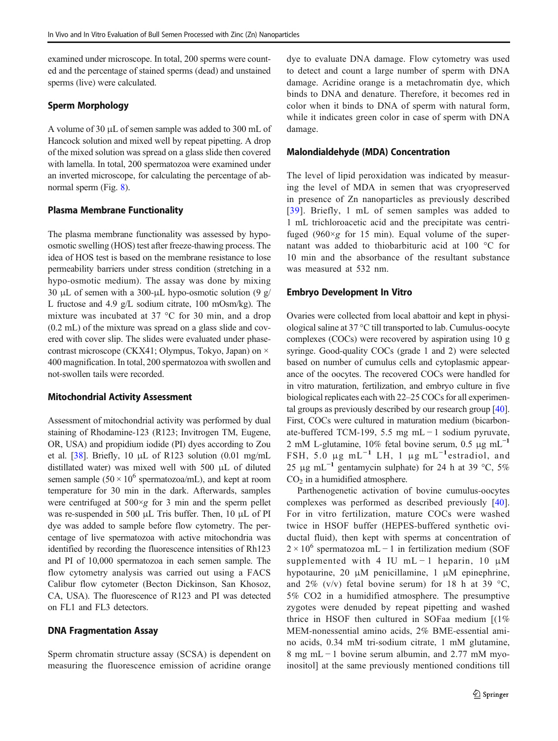examined under microscope. In total, 200 sperms were counted and the percentage of stained sperms (dead) and unstained sperms (live) were calculated.

## Sperm Morphology

A volume of 30 μL of semen sample was added to 300 mL of Hancock solution and mixed well by repeat pipetting. A drop of the mixed solution was spread on a glass slide then covered with lamella. In total, 200 spermatozoa were examined under an inverted microscope, for calculating the percentage of abnormal sperm (Fig. [8](#page-6-0)).

## Plasma Membrane Functionality

The plasma membrane functionality was assessed by hypoosmotic swelling (HOS) test after freeze-thawing process. The idea of HOS test is based on the membrane resistance to lose permeability barriers under stress condition (stretching in a hypo-osmotic medium). The assay was done by mixing 30 μL of semen with a 300-μL hypo-osmotic solution (9 g/ L fructose and 4.9 g/L sodium citrate, 100 mOsm/kg). The mixture was incubated at 37 °C for 30 min, and a drop (0.2 mL) of the mixture was spread on a glass slide and covered with cover slip. The slides were evaluated under phasecontrast microscope (CKX41; Olympus, Tokyo, Japan) on × 400 magnification. In total, 200 spermatozoa with swollen and not-swollen tails were recorded.

## Mitochondrial Activity Assessment

Assessment of mitochondrial activity was performed by dual staining of Rhodamine-123 (R123; Invitrogen TM, Eugene, OR, USA) and propidium iodide (PI) dyes according to Zou et al. [[38\]](#page-8-0). Briefly, 10 μL of R123 solution (0.01 mg/mL distillated water) was mixed well with 500 μL of diluted semen sample  $(50 \times 10^6$  spermatozoa/mL), and kept at room temperature for 30 min in the dark. Afterwards, samples were centrifuged at  $500 \times g$  for 3 min and the sperm pellet was re-suspended in 500 μL Tris buffer. Then, 10 μL of PI dye was added to sample before flow cytometry. The percentage of live spermatozoa with active mitochondria was identified by recording the fluorescence intensities of Rh123 and PI of 10,000 spermatozoa in each semen sample. The flow cytometry analysis was carried out using a FACS Calibur flow cytometer (Becton Dickinson, San Khosoz, CA, USA). The fluorescence of R123 and PI was detected on FL1 and FL3 detectors.

## DNA Fragmentation Assay

Sperm chromatin structure assay (SCSA) is dependent on measuring the fluorescence emission of acridine orange dye to evaluate DNA damage. Flow cytometry was used to detect and count a large number of sperm with DNA damage. Acridine orange is a metachromatin dye, which binds to DNA and denature. Therefore, it becomes red in color when it binds to DNA of sperm with natural form, while it indicates green color in case of sperm with DNA damage.

# Malondialdehyde (MDA) Concentration

The level of lipid peroxidation was indicated by measuring the level of MDA in semen that was cryopreserved in presence of Zn nanoparticles as previously described [[39](#page-8-0)]. Briefly, 1 mL of semen samples was added to 1 mL trichloroacetic acid and the precipitate was centrifuged (960 $\times$ g for 15 min). Equal volume of the supernatant was added to thiobarbituric acid at 100 °C for 10 min and the absorbance of the resultant substance was measured at 532 nm.

# Embryo Development In Vitro

Ovaries were collected from local abattoir and kept in physiological saline at 37 °C till transported to lab. Cumulus-oocyte complexes (COCs) were recovered by aspiration using 10 g syringe. Good-quality COCs (grade 1 and 2) were selected based on number of cumulus cells and cytoplasmic appearance of the oocytes. The recovered COCs were handled for in vitro maturation, fertilization, and embryo culture in five biological replicates each with 22–25 COCs for all experimental groups as previously described by our research group [[40\]](#page-8-0). First, COCs were cultured in maturation medium (bicarbonate-buffered TCM-199, 5.5 mg mL − 1 sodium pyruvate, 2 mM L-glutamine, 10% fetal bovine serum, 0.5 μg mL<sup>-1</sup> FSH, 5.0  $\mu$ g mL<sup>-1</sup> LH, 1  $\mu$ g mL<sup>-1</sup>estradiol, and 25 μg mL<sup>-1</sup> gentamycin sulphate) for 24 h at 39 °C, 5%  $CO<sub>2</sub>$  in a humidified atmosphere.

Parthenogenetic activation of bovine cumulus-oocytes complexes was performed as described previously [\[40](#page-8-0)]. For in vitro fertilization, mature COCs were washed twice in HSOF buffer (HEPES-buffered synthetic oviductal fluid), then kept with sperms at concentration of  $2 \times 10^6$  spermatozoa mL − 1 in fertilization medium (SOF supplemented with 4 IU mL – 1 heparin, 10  $\mu$ M hypotaurine, 20 μM penicillamine, 1 μM epinephrine, and 2% (v/v) fetal bovine serum) for 18 h at 39 °C, 5% CO2 in a humidified atmosphere. The presumptive zygotes were denuded by repeat pipetting and washed thrice in HSOF then cultured in SOFaa medium [(1% MEM-nonessential amino acids, 2% BME-essential amino acids, 0.34 mM tri-sodium citrate, 1 mM glutamine, 8 mg mL − 1 bovine serum albumin, and 2.77 mM myoinositol] at the same previously mentioned conditions till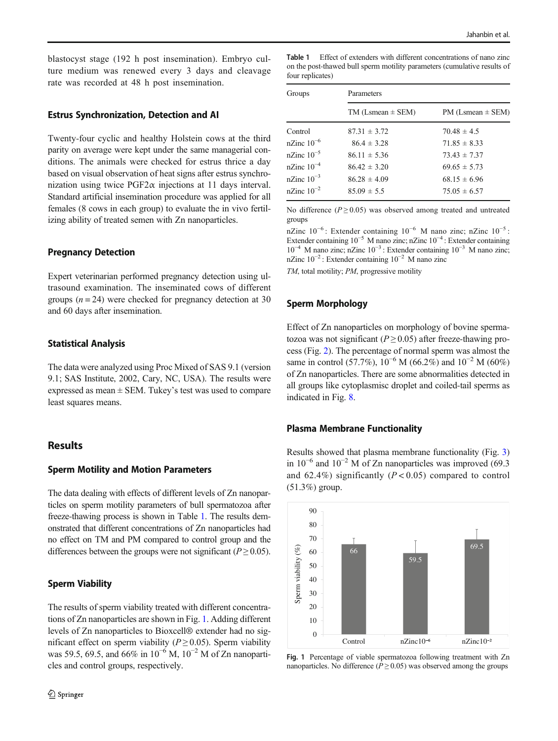blastocyst stage (192 h post insemination). Embryo culture medium was renewed every 3 days and cleavage rate was recorded at 48 h post insemination.

#### Estrus Synchronization, Detection and AI

Twenty-four cyclic and healthy Holstein cows at the third parity on average were kept under the same managerial conditions. The animals were checked for estrus thrice a day based on visual observation of heat signs after estrus synchronization using twice  $PGF2\alpha$  injections at 11 days interval. Standard artificial insemination procedure was applied for all females (8 cows in each group) to evaluate the in vivo fertilizing ability of treated semen with Zn nanoparticles.

#### Pregnancy Detection

Expert veterinarian performed pregnancy detection using ultrasound examination. The inseminated cows of different groups  $(n = 24)$  were checked for pregnancy detection at 30 and 60 days after insemination.

## Statistical Analysis

The data were analyzed using Proc Mixed of SAS 9.1 (version 9.1; SAS Institute, 2002, Cary, NC, USA). The results were expressed as mean  $\pm$  SEM. Tukey's test was used to compare least squares means.

## **Results**

## Sperm Motility and Motion Parameters

The data dealing with effects of different levels of Zn nanoparticles on sperm motility parameters of bull spermatozoa after freeze-thawing process is shown in Table 1. The results demonstrated that different concentrations of Zn nanoparticles had no effect on TM and PM compared to control group and the differences between the groups were not significant ( $P \ge 0.05$ ).

# Sperm Viability

The results of sperm viability treated with different concentrations of Zn nanoparticles are shown in Fig. 1. Adding different levels of Zn nanoparticles to Bioxcell® extender had no significant effect on sperm viability ( $P \ge 0.05$ ). Sperm viability was 59.5, 69.5, and 66% in  $10^{-6}$  M,  $10^{-2}$  M of Zn nanoparticles and control groups, respectively.

Table 1 Effect of extenders with different concentrations of nano zinc on the post-thawed bull sperm motility parameters (cumulative results of four replicates)

| Groups             | Parameters              |                         |  |  |
|--------------------|-------------------------|-------------------------|--|--|
|                    | $TM$ (Lsmean $\pm$ SEM) | $PM$ (Lsmean $\pm$ SEM) |  |  |
| Control            | $87.31 \pm 3.72$        | $70.48 \pm 4.5$         |  |  |
| $nZ$ inc $10^{-6}$ | $86.4 \pm 3.28$         | $71.85 \pm 8.33$        |  |  |
| $nZ$ inc $10^{-5}$ | $86.11 \pm 5.36$        | $73.43 \pm 7.37$        |  |  |
| $nZ$ inc $10^{-4}$ | $86.42 \pm 3.20$        | $69.65 \pm 5.73$        |  |  |
| nZinc $10^{-3}$    | $86.28 \pm 4.09$        | $68.15 \pm 6.96$        |  |  |
| nZinc $10^{-2}$    | $85.09 \pm 5.5$         | $75.05 \pm 6.57$        |  |  |

No difference ( $P \ge 0.05$ ) was observed among treated and untreated groups

nZinc  $10^{-6}$ : Extender containing  $10^{-6}$  M nano zinc; nZinc  $10^{-5}$ : Extender containing 10−<sup>5</sup> M nano zinc; nZinc 10−<sup>4</sup> : Extender containing 10−<sup>4</sup> M nano zinc; nZinc 10−<sup>3</sup> : Extender containing 10−<sup>3</sup> M nano zinc; nZinc 10−<sup>2</sup> : Extender containing 10−<sup>2</sup> M nano zinc

TM, total motility; PM, progressive motility

#### Sperm Morphology

Effect of Zn nanoparticles on morphology of bovine spermatozoa was not significant ( $P \ge 0.05$ ) after freeze-thawing process (Fig. [2](#page-4-0)). The percentage of normal sperm was almost the same in control (57.7%),  $10^{-6}$  M (66.2%) and  $10^{-2}$  M (60%) of Zn nanoparticles. There are some abnormalities detected in all groups like cytoplasmisc droplet and coiled-tail sperms as indicated in Fig. [8](#page-6-0).

#### Plasma Membrane Functionality

Results showed that plasma membrane functionality (Fig. [3](#page-4-0)) in  $10^{-6}$  and  $10^{-2}$  M of Zn nanoparticles was improved (69.3 and 62.4%) significantly  $(P < 0.05)$  compared to control (51.3%) group.



Fig. 1 Percentage of viable spermatozoa following treatment with Zn nanoparticles. No difference ( $P \ge 0.05$ ) was observed among the groups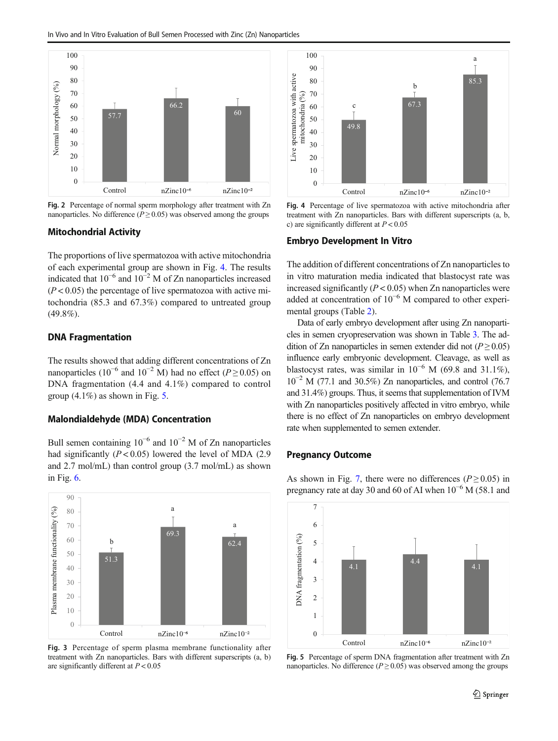<span id="page-4-0"></span>

Fig. 2 Percentage of normal sperm morphology after treatment with Zn nanoparticles. No difference ( $P \ge 0.05$ ) was observed among the groups

#### Mitochondrial Activity

The proportions of live spermatozoa with active mitochondria of each experimental group are shown in Fig. 4. The results indicated that  $10^{-6}$  and  $10^{-2}$  M of Zn nanoparticles increased  $(P < 0.05)$  the percentage of live spermatozoa with active mitochondria (85.3 and 67.3%) compared to untreated group  $(49.8\%)$ .

#### DNA Fragmentation

The results showed that adding different concentrations of Zn nanoparticles (10<sup>-6</sup> and 10<sup>-2</sup> M) had no effect (P ≥ 0.05) on DNA fragmentation (4.4 and 4.1%) compared to control group  $(4.1\%)$  as shown in Fig. 5.

#### Malondialdehyde (MDA) Concentration

Bull semen containing  $10^{-6}$  and  $10^{-2}$  M of Zn nanoparticles had significantly  $(P < 0.05)$  lowered the level of MDA (2.9) and 2.7 mol/mL) than control group (3.7 mol/mL) as shown in Fig. [6](#page-5-0).



Fig. 3 Percentage of sperm plasma membrane functionality after treatment with Zn nanoparticles. Bars with different superscripts (a, b) are significantly different at  $P < 0.05$ 



Fig. 4 Percentage of live spermatozoa with active mitochondria after treatment with Zn nanoparticles. Bars with different superscripts (a, b, c) are significantly different at  $P < 0.05$ 

## Embryo Development In Vitro

The addition of different concentrations of Zn nanoparticles to in vitro maturation media indicated that blastocyst rate was increased significantly  $(P < 0.05)$  when Zn nanoparticles were added at concentration of 10−<sup>6</sup> M compared to other experimental groups (Table [2\)](#page-5-0).

Data of early embryo development after using Zn nanoparticles in semen cryopreservation was shown in Table [3](#page-6-0). The addition of Zn nanoparticles in semen extender did not ( $P \ge 0.05$ ) influence early embryonic development. Cleavage, as well as blastocyst rates, was similar in  $10^{-6}$  M (69.8 and 31.1%),  $10^{-2}$  M (77.1 and 30.5%) Zn nanoparticles, and control (76.7 and 31.4%) groups. Thus, it seems that supplementation of IVM with Zn nanoparticles positively affected in vitro embryo, while there is no effect of Zn nanoparticles on embryo development rate when supplemented to semen extender.

# Pregnancy Outcome

As shown in Fig. [7](#page-6-0), there were no differences ( $P \ge 0.05$ ) in pregnancy rate at day 30 and 60 of AI when  $10^{-6}$  M (58.1 and



Fig. 5 Percentage of sperm DNA fragmentation after treatment with Zn nanoparticles. No difference ( $P \ge 0.05$ ) was observed among the groups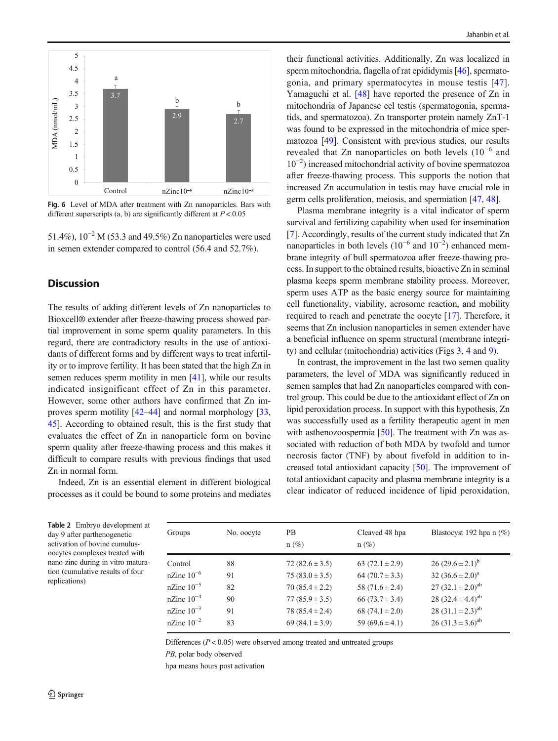<span id="page-5-0"></span>

Fig. 6 Level of MDA after treatment with Zn nanoparticles. Bars with different superscripts (a, b) are significantly different at  $P < 0.05$ 

51.4%),  $10^{-2}$  M (53.3 and 49.5%) Zn nanoparticles were used in semen extender compared to control (56.4 and 52.7%).

# **Discussion**

The results of adding different levels of Zn nanoparticles to Bioxcell® extender after freeze-thawing process showed partial improvement in some sperm quality parameters. In this regard, there are contradictory results in the use of antioxidants of different forms and by different ways to treat infertility or to improve fertility. It has been stated that the high Zn in semen reduces sperm motility in men [\[41\]](#page-8-0), while our results indicated insignificant effect of Zn in this parameter. However, some other authors have confirmed that Zn improves sperm motility [[42](#page-8-0)–[44](#page-9-0)] and normal morphology [[33,](#page-8-0) [45\]](#page-9-0). According to obtained result, this is the first study that evaluates the effect of Zn in nanoparticle form on bovine sperm quality after freeze-thawing process and this makes it difficult to compare results with previous findings that used Zn in normal form.

Indeed, Zn is an essential element in different biological processes as it could be bound to some proteins and mediates

their functional activities. Additionally, Zn was localized in sperm mitochondria, flagella of rat epididymis [\[46](#page-9-0)], spermatogonia, and primary spermatocytes in mouse testis [[47](#page-9-0)]. Yamaguchi et al. [[48\]](#page-9-0) have reported the presence of Zn in mitochondria of Japanese eel testis (spermatogonia, spermatids, and spermatozoa). Zn transporter protein namely ZnT-1 was found to be expressed in the mitochondria of mice spermatozoa [\[49](#page-9-0)]. Consistent with previous studies, our results revealed that Zn nanoparticles on both levels (10−<sup>6</sup> and 10−<sup>2</sup> ) increased mitochondrial activity of bovine spermatozoa after freeze-thawing process. This supports the notion that increased Zn accumulation in testis may have crucial role in germ cells proliferation, meiosis, and spermiation [\[47](#page-9-0), [48](#page-9-0)].

Plasma membrane integrity is a vital indicator of sperm survival and fertilizing capability when used for insemination [\[7](#page-8-0)]. Accordingly, results of the current study indicated that Zn nanoparticles in both levels  $(10^{-6}$  and  $10^{-2})$  enhanced membrane integrity of bull spermatozoa after freeze-thawing process. In support to the obtained results, bioactive Zn in seminal plasma keeps sperm membrane stability process. Moreover, sperm uses ATP as the basic energy source for maintaining cell functionality, viability, acrosome reaction, and mobility required to reach and penetrate the oocyte [\[17](#page-8-0)]. Therefore, it seems that Zn inclusion nanoparticles in semen extender have a beneficial influence on sperm structural (membrane integrity) and cellular (mitochondria) activities (Figs [3](#page-4-0), [4](#page-4-0) and [9\)](#page-7-0).

In contrast, the improvement in the last two semen quality parameters, the level of MDA was significantly reduced in semen samples that had Zn nanoparticles compared with control group. This could be due to the antioxidant effect of Zn on lipid peroxidation process. In support with this hypothesis, Zn was successfully used as a fertility therapeutic agent in men with asthenozoospermia [\[50](#page-9-0)]. The treatment with Zn was associated with reduction of both MDA by twofold and tumor necrosis factor (TNF) by about fivefold in addition to increased total antioxidant capacity [\[50\]](#page-9-0). The improvement of total antioxidant capacity and plasma membrane integrity is a clear indicator of reduced incidence of lipid peroxidation,

Table 2 Embryo development at day 9 after parthenogenetic activation of bovine cumulusoocytes complexes treated with nano zinc during in vitro maturation (cumulative results of four replications)

| Groups          | No. oocyte | PВ<br>$n(\%)$       | Cleaved 48 hpa<br>$n(\%)$ | Blastocyst 192 hpa n $(\%)$ |
|-----------------|------------|---------------------|---------------------------|-----------------------------|
| Control         | 88         | $72(82.6 \pm 3.5)$  | 63 $(72.1 \pm 2.9)$       | $26(29.6 \pm 2.1)^b$        |
| nZinc $10^{-6}$ | 91         | $75(83.0 \pm 3.5)$  | 64 $(70.7 \pm 3.3)$       | 32 $(36.6 \pm 2.0)^a$       |
| nZinc $10^{-5}$ | 82         | $70(85.4 \pm 2.2)$  | 58 $(71.6 \pm 2.4)$       | 27 $(32.1 \pm 2.0)^{ab}$    |
| nZinc $10^{-4}$ | 90         | $77(85.9 \pm 3.5)$  | 66 $(73.7 \pm 3.4)$       | 28 $(32.4 \pm 4.4)^{ab}$    |
| nZinc $10^{-3}$ | 91         | $78(85.4 \pm 2.4)$  | 68 $(74.1 \pm 2.0)$       | 28 $(31.1 \pm 2.3)^{ab}$    |
| nZinc $10^{-2}$ | 83         | 69 $(84.1 \pm 3.9)$ | 59 $(69.6 \pm 4.1)$       | 26 $(31.3 \pm 3.6)^{ab}$    |
|                 |            |                     |                           |                             |

Differences  $(P < 0.05)$  were observed among treated and untreated groups

PB, polar body observed

hpa means hours post activation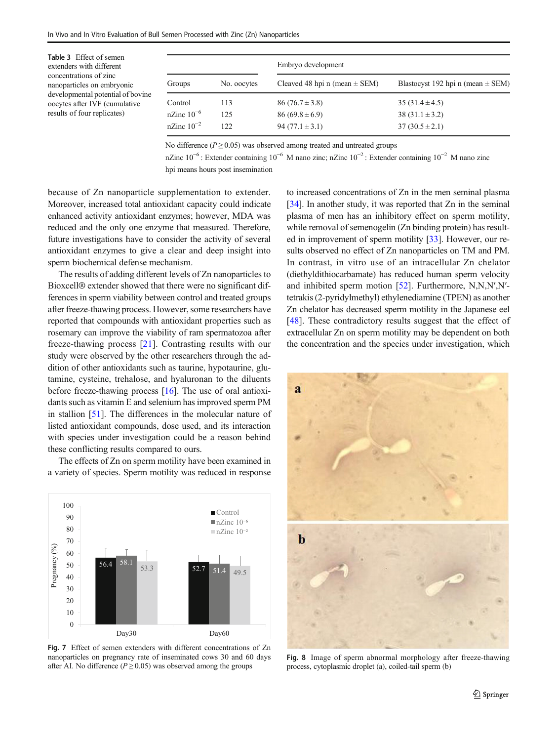<span id="page-6-0"></span>Table 3 Effect of semen extenders with different concentrations of zinc nanoparticles on embryonic developmental potential of bovine oocytes after IVF (cumulative results of four replicates)

|                 |             | Embryo development                |                                       |  |
|-----------------|-------------|-----------------------------------|---------------------------------------|--|
| Groups          | No. oocytes | Cleaved 48 hpi n (mean $\pm$ SEM) | Blastocyst 192 hpi n (mean $\pm$ SEM) |  |
| Control         | 113         | $86(76.7 \pm 3.8)$                | $35(31.4 \pm 4.5)$                    |  |
| nZinc $10^{-6}$ | 125         | $86(69.8 \pm 6.9)$                | $38(31.1 \pm 3.2)$                    |  |
| nZinc $10^{-2}$ | 122.        | 94 $(77.1 \pm 3.1)$               | $37(30.5 \pm 2.1)$                    |  |

No difference ( $P \ge 0.05$ ) was observed among treated and untreated groups

nZinc  $10^{-6}$ : Extender containing  $10^{-6}$  M nano zinc; nZinc  $10^{-2}$ : Extender containing  $10^{-2}$  M nano zinc hpi means hours post insemination

because of Zn nanoparticle supplementation to extender. Moreover, increased total antioxidant capacity could indicate enhanced activity antioxidant enzymes; however, MDA was reduced and the only one enzyme that measured. Therefore, future investigations have to consider the activity of several antioxidant enzymes to give a clear and deep insight into sperm biochemical defense mechanism.

The results of adding different levels of Zn nanoparticles to Bioxcell® extender showed that there were no significant differences in sperm viability between control and treated groups after freeze-thawing process. However, some researchers have reported that compounds with antioxidant properties such as rosemary can improve the viability of ram spermatozoa after freeze-thawing process [[21\]](#page-8-0). Contrasting results with our study were observed by the other researchers through the addition of other antioxidants such as taurine, hypotaurine, glutamine, cysteine, trehalose, and hyaluronan to the diluents before freeze-thawing process [[16](#page-8-0)]. The use of oral antioxidants such as vitamin E and selenium has improved sperm PM in stallion [[51\]](#page-9-0). The differences in the molecular nature of listed antioxidant compounds, dose used, and its interaction with species under investigation could be a reason behind these conflicting results compared to ours.

The effects of Zn on sperm motility have been examined in a variety of species. Sperm motility was reduced in response



Fig. 7 Effect of semen extenders with different concentrations of Zn nanoparticles on pregnancy rate of inseminated cows 30 and 60 days after AI. No difference ( $P \ge 0.05$ ) was observed among the groups

to increased concentrations of Zn in the men seminal plasma [\[34](#page-8-0)]. In another study, it was reported that Zn in the seminal plasma of men has an inhibitory effect on sperm motility, while removal of semenogelin (Zn binding protein) has resulted in improvement of sperm motility [\[33\]](#page-8-0). However, our results observed no effect of Zn nanoparticles on TM and PM. In contrast, in vitro use of an intracellular Zn chelator (diethyldithiocarbamate) has reduced human sperm velocity and inhibited sperm motion [[52\]](#page-9-0). Furthermore, N,N,N′,N′ tetrakis (2-pyridylmethyl) ethylenediamine (TPEN) as another Zn chelator has decreased sperm motility in the Japanese eel [\[48](#page-9-0)]. These contradictory results suggest that the effect of extracellular Zn on sperm motility may be dependent on both the concentration and the species under investigation, which



Fig. 8 Image of sperm abnormal morphology after freeze-thawing process, cytoplasmic droplet (a), coiled-tail sperm (b)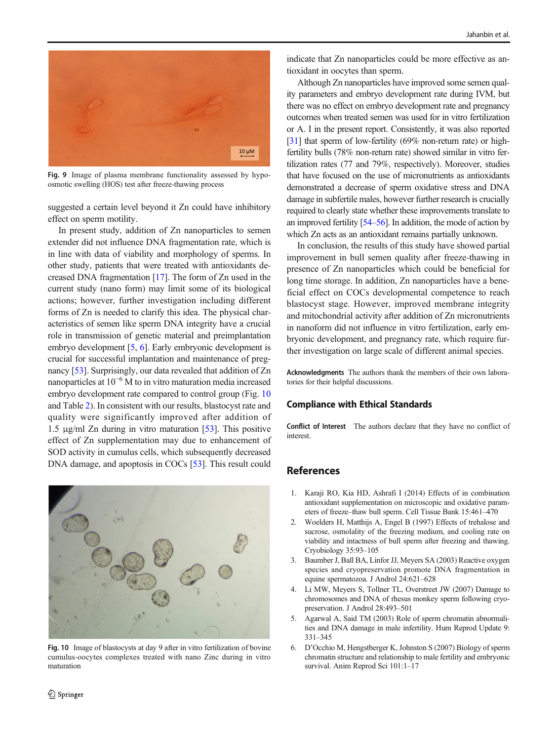<span id="page-7-0"></span>

Fig. 9 Image of plasma membrane functionality assessed by hypoosmotic swelling (HOS) test after freeze-thawing process

suggested a certain level beyond it Zn could have inhibitory effect on sperm motility.

In present study, addition of Zn nanoparticles to semen extender did not influence DNA fragmentation rate, which is in line with data of viability and morphology of sperms. In other study, patients that were treated with antioxidants decreased DNA fragmentation [\[17\]](#page-8-0). The form of Zn used in the current study (nano form) may limit some of its biological actions; however, further investigation including different forms of Zn is needed to clarify this idea. The physical characteristics of semen like sperm DNA integrity have a crucial role in transmission of genetic material and preimplantation embryo development [5, 6]. Early embryonic development is crucial for successful implantation and maintenance of pregnancy [[53](#page-9-0)]. Surprisingly, our data revealed that addition of Zn nanoparticles at  $10^{-6}$  M to in vitro maturation media increased embryo development rate compared to control group (Fig. 10 and Table [2](#page-5-0)). In consistent with our results, blastocyst rate and quality were significantly improved after addition of 1.5 μg/ml Zn during in vitro maturation [[53\]](#page-9-0). This positive effect of Zn supplementation may due to enhancement of SOD activity in cumulus cells, which subsequently decreased DNA damage, and apoptosis in COCs [[53\]](#page-9-0). This result could



Fig. 10 Image of blastocysts at day 9 after in vitro fertilization of bovine cumulus-oocytes complexes treated with nano Zinc during in vitro maturation

2 Springer

indicate that Zn nanoparticles could be more effective as antioxidant in oocytes than sperm.

Although Zn nanoparticles have improved some semen quality parameters and embryo development rate during IVM, but there was no effect on embryo development rate and pregnancy outcomes when treated semen was used for in vitro fertilization or A. I in the present report. Consistently, it was also reported [\[31\]](#page-8-0) that sperm of low-fertility (69% non-return rate) or highfertility bulls (78% non-return rate) showed similar in vitro fertilization rates (77 and 79%, respectively). Moreover, studies that have focused on the use of micronutrients as antioxidants demonstrated a decrease of sperm oxidative stress and DNA damage in subfertile males, however further research is crucially required to clearly state whether these improvements translate to an improved fertility [\[54](#page-9-0)–[56](#page-9-0)]. In addition, the mode of action by which Zn acts as an antioxidant remains partially unknown.

In conclusion, the results of this study have showed partial improvement in bull semen quality after freeze-thawing in presence of Zn nanoparticles which could be beneficial for long time storage. In addition, Zn nanoparticles have a beneficial effect on COCs developmental competence to reach blastocyst stage. However, improved membrane integrity and mitochondrial activity after addition of Zn micronutrients in nanoform did not influence in vitro fertilization, early embryonic development, and pregnancy rate, which require further investigation on large scale of different animal species.

Acknowledgments The authors thank the members of their own laboratories for their helpful discussions.

#### Compliance with Ethical Standards

Conflict of Interest The authors declare that they have no conflict of interest.

# References

- 1. Karaji RO, Kia HD, Ashrafi I (2014) Effects of in combination antioxidant supplementation on microscopic and oxidative parameters of freeze–thaw bull sperm. Cell Tissue Bank 15:461–470
- 2. Woelders H, Matthijs A, Engel B (1997) Effects of trehalose and sucrose, osmolality of the freezing medium, and cooling rate on viability and intactness of bull sperm after freezing and thawing. Cryobiology 35:93–105
- 3. Baumber J, Ball BA, Linfor JJ, Meyers SA (2003) Reactive oxygen species and cryopreservation promote DNA fragmentation in equine spermatozoa. J Androl 24:621–628
- 4. Li MW, Meyers S, Tollner TL, Overstreet JW (2007) Damage to chromosomes and DNA of rhesus monkey sperm following cryopreservation. J Androl 28:493–501
- 5. Agarwal A, Said TM (2003) Role of sperm chromatin abnormalities and DNA damage in male infertility. Hum Reprod Update 9: 331–345
- 6. D'Occhio M, Hengstberger K, Johnston S (2007) Biology of sperm chromatin structure and relationship to male fertility and embryonic survival. Anim Reprod Sci 101:1–17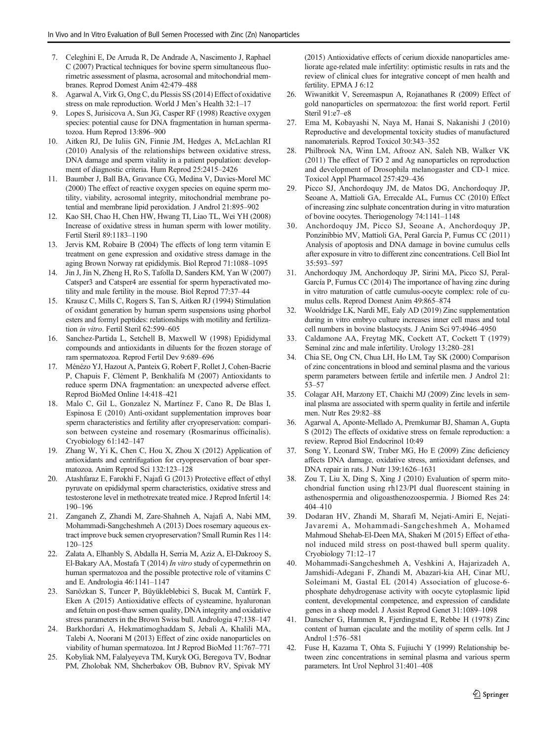- <span id="page-8-0"></span>7. Celeghini E, De Arruda R, De Andrade A, Nascimento J, Raphael C (2007) Practical techniques for bovine sperm simultaneous fluorimetric assessment of plasma, acrosomal and mitochondrial membranes. Reprod Domest Anim 42:479–488
- 8. Agarwal A, Virk G, Ong C, du Plessis SS (2014) Effect of oxidative stress on male reproduction. World J Men's Health 32:1–17
- 9. Lopes S, Jurisicova A, Sun JG, Casper RF (1998) Reactive oxygen species: potential cause for DNA fragmentation in human spermatozoa. Hum Reprod 13:896–900
- 10. Aitken RJ, De Iuliis GN, Finnie JM, Hedges A, McLachlan RI (2010) Analysis of the relationships between oxidative stress, DNA damage and sperm vitality in a patient population: development of diagnostic criteria. Hum Reprod 25:2415–2426
- 11. Baumber J, Ball BA, Gravance CG, Medina V, Davies-Morel MC (2000) The effect of reactive oxygen species on equine sperm motility, viability, acrosomal integrity, mitochondrial membrane potential and membrane lipid peroxidation. J Androl 21:895–902
- 12. Kao SH, Chao H, Chen HW, Hwang TI, Liao TL, Wei YH (2008) Increase of oxidative stress in human sperm with lower motility. Fertil Steril 89:1183–1190
- 13. Jervis KM, Robaire B (2004) The effects of long term vitamin E treatment on gene expression and oxidative stress damage in the aging Brown Norway rat epididymis. Biol Reprod 71:1088–1095
- 14. Jin J, Jin N, Zheng H, Ro S, Tafolla D, Sanders KM, Yan W (2007) Catsper3 and Catsper4 are essential for sperm hyperactivated motility and male fertility in the mouse. Biol Reprod 77:37–44
- 15. Krausz C, Mills C, Rogers S, Tan S, Aitken RJ (1994) Stimulation of oxidant generation by human sperm suspensions using phorbol esters and formyl peptides: relationships with motility and fertilization in vitro. Fertil Steril 62:599–<sup>605</sup>
- 16. Sanchez-Partida L, Setchell B, Maxwell W (1998) Epididymal compounds and antioxidants in diluents for the frozen storage of ram spermatozoa. Reprod Fertil Dev 9:689–696
- 17. Ménézo YJ, Hazout A, Panteix G, Robert F, Rollet J, Cohen-Bacrie P, Chapuis F, Clément P, Benkhalifa M (2007) Antioxidants to reduce sperm DNA fragmentation: an unexpected adverse effect. Reprod BioMed Online 14:418–421
- 18. Malo C, Gil L, Gonzalez N, Martínez F, Cano R, De Blas I, Espinosa E (2010) Anti-oxidant supplementation improves boar sperm characteristics and fertility after cryopreservation: comparison between cysteine and rosemary (Rosmarinus officinalis). Cryobiology 61:142–147
- 19. Zhang W, Yi K, Chen C, Hou X, Zhou X (2012) Application of antioxidants and centrifugation for cryopreservation of boar spermatozoa. Anim Reprod Sci 132:123–128
- 20. Atashfaraz E, Farokhi F, Najafi G (2013) Protective effect of ethyl pyruvate on epididymal sperm characteristics, oxidative stress and testosterone level in methotrexate treated mice. J Reprod Infertil 14: 190–196
- 21. Zanganeh Z, Zhandi M, Zare-Shahneh A, Najafi A, Nabi MM, Mohammadi-Sangcheshmeh A (2013) Does rosemary aqueous extract improve buck semen cryopreservation? Small Rumin Res 114: 120–125
- 22. Zalata A, Elhanbly S, Abdalla H, Serria M, Aziz A, El-Dakrooy S, El-Bakary AA, Mostafa T (2014) In vitro study of cypermethrin on human spermatozoa and the possible protective role of vitamins C and E. Andrologia 46:1141–1147
- 23. Sarıözkan S, Tuncer P, Büyükleblebici S, Bucak M, Cantürk F, Eken A (2015) Antioxidative effects of cysteamine, hyaluronan and fetuin on post-thaw semen quality, DNA integrity and oxidative stress parameters in the Brown Swiss bull. Andrologia 47:138–147
- 24. Barkhordari A, Hekmatimoghaddam S, Jebali A, Khalili MA, Talebi A, Noorani M (2013) Effect of zinc oxide nanoparticles on viability of human spermatozoa. Int J Reprod BioMed 11:767–771
- 25. Kobyliak NM, Falalyeyeva TM, Kuryk OG, Beregova TV, Bodnar PM, Zholobak NM, Shcherbakov OB, Bubnov RV, Spivak MY

(2015) Antioxidative effects of cerium dioxide nanoparticles ameliorate age-related male infertility: optimistic results in rats and the review of clinical clues for integrative concept of men health and fertility. EPMA J 6:12

- 26. Wiwanitkit V, Sereemaspun A, Rojanathanes R (2009) Effect of gold nanoparticles on spermatozoa: the first world report. Fertil Steril 91:e7–e8
- 27. Ema M, Kobayashi N, Naya M, Hanai S, Nakanishi J (2010) Reproductive and developmental toxicity studies of manufactured nanomaterials. Reprod Toxicol 30:343–352
- 28. Philbrook NA, Winn LM, Afrooz AN, Saleh NB, Walker VK (2011) The effect of TiO 2 and Ag nanoparticles on reproduction and development of Drosophila melanogaster and CD-1 mice. Toxicol Appl Pharmacol 257:429–436
- 29. Picco SJ, Anchordoquy JM, de Matos DG, Anchordoquy JP, Seoane A, Mattioli GA, Errecalde AL, Furnus CC (2010) Effect of increasing zinc sulphate concentration during in vitro maturation of bovine oocytes. Theriogenology 74:1141–1148
- 30. Anchordoquy JM, Picco SJ, Seoane A, Anchordoquy JP, Ponzinibbio MV, Mattioli GA, Peral García P, Furnus CC (2011) Analysis of apoptosis and DNA damage in bovine cumulus cells after exposure in vitro to different zinc concentrations. Cell Biol Int 35:593–597
- 31. Anchordoquy JM, Anchordoquy JP, Sirini MA, Picco SJ, Peral-García P, Furnus CC (2014) The importance of having zinc during in vitro maturation of cattle cumulus-oocyte complex: role of cumulus cells. Reprod Domest Anim 49:865–874
- 32. Wooldridge LK, Nardi ME, Ealy AD (2019) Zinc supplementation during in vitro embryo culture increases inner cell mass and total cell numbers in bovine blastocysts. J Anim Sci 97:4946–4950
- 33. Caldamone AA, Freytag MK, Cockett AT, Cockett T (1979) Seminal zinc and male infertility. Urology 13:280–281
- 34. Chia SE, Ong CN, Chua LH, Ho LM, Tay SK (2000) Comparison of zinc concentrations in blood and seminal plasma and the various sperm parameters between fertile and infertile men. J Androl 21: 53–57
- 35. Colagar AH, Marzony ET, Chaichi MJ (2009) Zinc levels in seminal plasma are associated with sperm quality in fertile and infertile men. Nutr Res 29:82–88
- 36. Agarwal A, Aponte-Mellado A, Premkumar BJ, Shaman A, Gupta S (2012) The effects of oxidative stress on female reproduction: a review. Reprod Biol Endocrinol 10:49
- 37. Song Y, Leonard SW, Traber MG, Ho E (2009) Zinc deficiency affects DNA damage, oxidative stress, antioxidant defenses, and DNA repair in rats. J Nutr 139:1626–1631
- 38. Zou T, Liu X, Ding S, Xing J (2010) Evaluation of sperm mitochondrial function using rh123/PI dual fluorescent staining in asthenospermia and oligoasthenozoospermia. J Biomed Res 24: 404–410
- 39. Dodaran HV, Zhandi M, Sharafi M, Nejati-Amiri E, Nejati-Javaremi A, Mohammadi-Sangcheshmeh A, Mohamed Mahmoud Shehab-El-Deen MA, Shakeri M (2015) Effect of ethanol induced mild stress on post-thawed bull sperm quality. Cryobiology 71:12–17
- 40. Mohammadi-Sangcheshmeh A, Veshkini A, Hajarizadeh A, Jamshidi-Adegani F, Zhandi M, Abazari-kia AH, Cinar MU, Soleimani M, Gastal EL (2014) Association of glucose-6 phosphate dehydrogenase activity with oocyte cytoplasmic lipid content, developmental competence, and expression of candidate genes in a sheep model. J Assist Reprod Genet 31:1089–1098
- 41. Danscher G, Hammen R, Fjerdingstad E, Rebbe H (1978) Zinc content of human ejaculate and the motility of sperm cells. Int J Androl 1:576–581
- 42. Fuse H, Kazama T, Ohta S, Fujiuchi Y (1999) Relationship between zinc concentrations in seminal plasma and various sperm parameters. Int Urol Nephrol 31:401–408